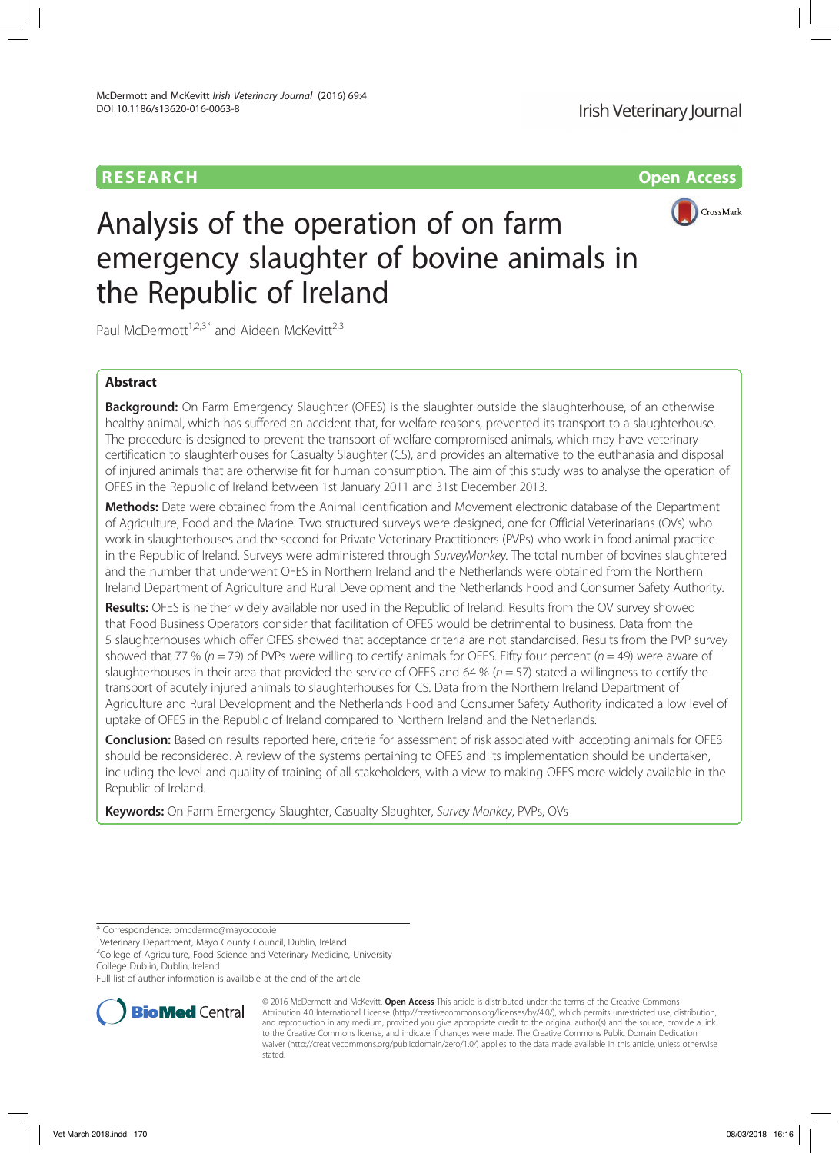# RESEARCH Open Access



# Analysis of the operation of on farm emergency slaughter of bovine animals in the Republic of Ireland

Paul McDermott<sup>1,2,3\*</sup> and Aideen McKevitt<sup>2,3</sup>

# Abstract

**Background:** On Farm Emergency Slaughter (OFES) is the slaughter outside the slaughterhouse, of an otherwise healthy animal, which has suffered an accident that, for welfare reasons, prevented its transport to a slaughterhouse. The procedure is designed to prevent the transport of welfare compromised animals, which may have veterinary certification to slaughterhouses for Casualty Slaughter (CS), and provides an alternative to the euthanasia and disposal of injured animals that are otherwise fit for human consumption. The aim of this study was to analyse the operation of OFES in the Republic of Ireland between 1st January 2011 and 31st December 2013.

Methods: Data were obtained from the Animal Identification and Movement electronic database of the Department of Agriculture, Food and the Marine. Two structured surveys were designed, one for Official Veterinarians (OVs) who work in slaughterhouses and the second for Private Veterinary Practitioners (PVPs) who work in food animal practice in the Republic of Ireland. Surveys were administered through SurveyMonkey. The total number of bovines slaughtered and the number that underwent OFES in Northern Ireland and the Netherlands were obtained from the Northern Ireland Department of Agriculture and Rural Development and the Netherlands Food and Consumer Safety Authority.

Results: OFES is neither widely available nor used in the Republic of Ireland. Results from the OV survey showed that Food Business Operators consider that facilitation of OFES would be detrimental to business. Data from the 5 slaughterhouses which offer OFES showed that acceptance criteria are not standardised. Results from the PVP survey showed that 77 % ( $n = 79$ ) of PVPs were willing to certify animals for OFES. Fifty four percent ( $n = 49$ ) were aware of slaughterhouses in their area that provided the service of OFES and 64 % ( $n = 57$ ) stated a willingness to certify the transport of acutely injured animals to slaughterhouses for CS. Data from the Northern Ireland Department of Agriculture and Rural Development and the Netherlands Food and Consumer Safety Authority indicated a low level of uptake of OFES in the Republic of Ireland compared to Northern Ireland and the Netherlands.

Conclusion: Based on results reported here, criteria for assessment of risk associated with accepting animals for OFES should be reconsidered. A review of the systems pertaining to OFES and its implementation should be undertaken, including the level and quality of training of all stakeholders, with a view to making OFES more widely available in the Republic of Ireland.

Keywords: On Farm Emergency Slaughter, Casualty Slaughter, Survey Monkey, PVPs, OVs

Full list of author information is available at the end of the article



<sup>© 2016</sup> McDermott and McKevitt. Open Access This article is distributed under the terms of the Creative Commons Attribution 4.0 International License (http://creativecommons.org/licenses/by/4.0/), which permits unrestricted use, distribution, and reproduction in any medium, provided you give appropriate credit to the original author(s) and the source, provide a link to the Creative Commons license, and indicate if changes were made. The Creative Commons Public Domain Dedication waiver (http://creativecommons.org/publicdomain/zero/1.0/) applies to the data made available in this article, unless otherwise stated.

<sup>\*</sup> Correspondence: pmcdermo@mayococo.ie <sup>1</sup>

Veterinary Department, Mayo County Council, Dublin, Ireland

<sup>&</sup>lt;sup>2</sup>College of Agriculture, Food Science and Veterinary Medicine, University College Dublin, Dublin, Ireland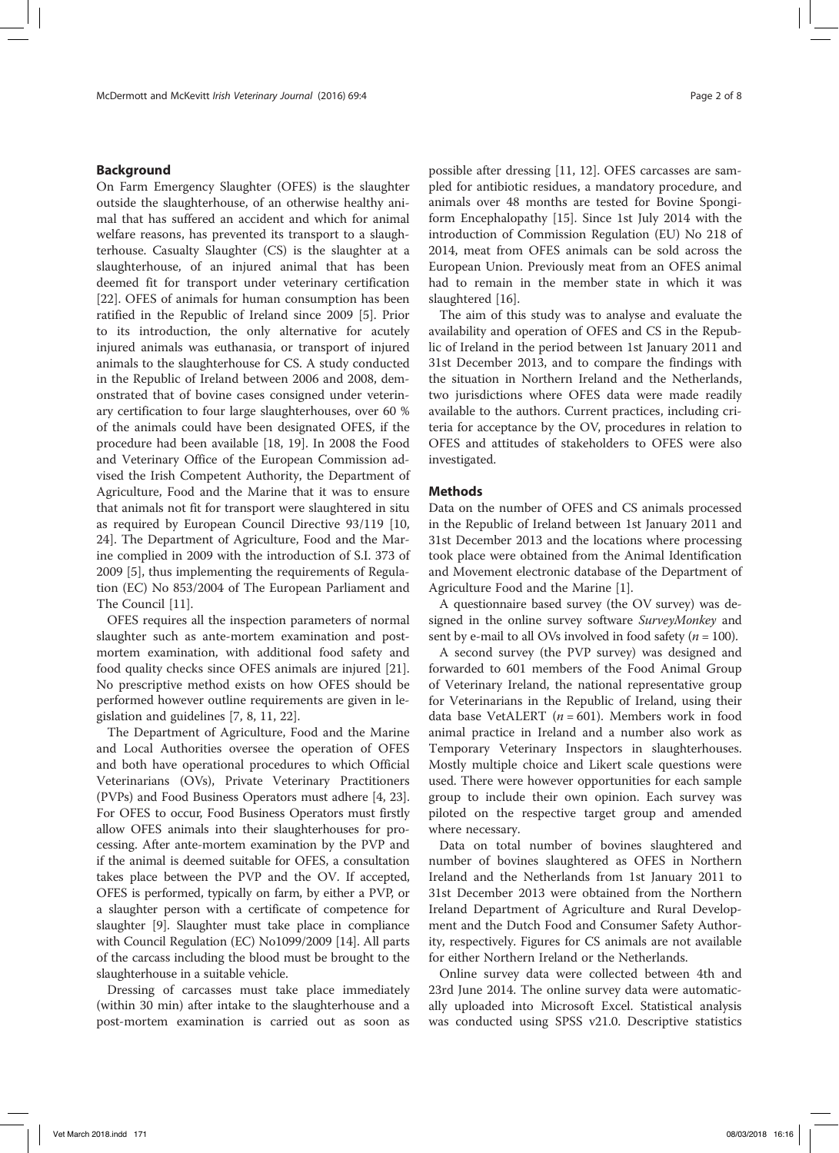# Background

On Farm Emergency Slaughter (OFES) is the slaughter outside the slaughterhouse, of an otherwise healthy animal that has suffered an accident and which for animal welfare reasons, has prevented its transport to a slaughterhouse. Casualty Slaughter (CS) is the slaughter at a slaughterhouse, of an injured animal that has been deemed fit for transport under veterinary certification [22]. OFES of animals for human consumption has been ratified in the Republic of Ireland since 2009 [5]. Prior to its introduction, the only alternative for acutely injured animals was euthanasia, or transport of injured animals to the slaughterhouse for CS. A study conducted in the Republic of Ireland between 2006 and 2008, demonstrated that of bovine cases consigned under veterinary certification to four large slaughterhouses, over 60 % of the animals could have been designated OFES, if the procedure had been available [18, 19]. In 2008 the Food and Veterinary Office of the European Commission advised the Irish Competent Authority, the Department of Agriculture, Food and the Marine that it was to ensure that animals not fit for transport were slaughtered in situ as required by European Council Directive 93/119 [10, 24]. The Department of Agriculture, Food and the Marine complied in 2009 with the introduction of S.I. 373 of 2009 [5], thus implementing the requirements of Regulation (EC) No 853/2004 of The European Parliament and The Council [11].

OFES requires all the inspection parameters of normal slaughter such as ante-mortem examination and postmortem examination, with additional food safety and food quality checks since OFES animals are injured [21]. No prescriptive method exists on how OFES should be performed however outline requirements are given in legislation and guidelines [7, 8, 11, 22].

The Department of Agriculture, Food and the Marine and Local Authorities oversee the operation of OFES and both have operational procedures to which Official Veterinarians (OVs), Private Veterinary Practitioners (PVPs) and Food Business Operators must adhere [4, 23]. For OFES to occur, Food Business Operators must firstly allow OFES animals into their slaughterhouses for processing. After ante-mortem examination by the PVP and if the animal is deemed suitable for OFES, a consultation takes place between the PVP and the OV. If accepted, OFES is performed, typically on farm, by either a PVP, or a slaughter person with a certificate of competence for slaughter [9]. Slaughter must take place in compliance with Council Regulation (EC) No1099/2009 [14]. All parts of the carcass including the blood must be brought to the slaughterhouse in a suitable vehicle.

Dressing of carcasses must take place immediately (within 30 min) after intake to the slaughterhouse and a post-mortem examination is carried out as soon as

possible after dressing [11, 12]. OFES carcasses are sampled for antibiotic residues, a mandatory procedure, and animals over 48 months are tested for Bovine Spongiform Encephalopathy [15]. Since 1st July 2014 with the introduction of Commission Regulation (EU) No 218 of 2014, meat from OFES animals can be sold across the European Union. Previously meat from an OFES animal had to remain in the member state in which it was slaughtered [16].

The aim of this study was to analyse and evaluate the availability and operation of OFES and CS in the Republic of Ireland in the period between 1st January 2011 and 31st December 2013, and to compare the findings with the situation in Northern Ireland and the Netherlands, two jurisdictions where OFES data were made readily available to the authors. Current practices, including criteria for acceptance by the OV, procedures in relation to OFES and attitudes of stakeholders to OFES were also investigated.

# Methods

Data on the number of OFES and CS animals processed in the Republic of Ireland between 1st January 2011 and 31st December 2013 and the locations where processing took place were obtained from the Animal Identification and Movement electronic database of the Department of Agriculture Food and the Marine [1].

A questionnaire based survey (the OV survey) was designed in the online survey software SurveyMonkey and sent by e-mail to all OVs involved in food safety ( $n = 100$ ).

A second survey (the PVP survey) was designed and forwarded to 601 members of the Food Animal Group of Veterinary Ireland, the national representative group for Veterinarians in the Republic of Ireland, using their data base VetALERT ( $n = 601$ ). Members work in food animal practice in Ireland and a number also work as Temporary Veterinary Inspectors in slaughterhouses. Mostly multiple choice and Likert scale questions were used. There were however opportunities for each sample group to include their own opinion. Each survey was piloted on the respective target group and amended where necessary.

Data on total number of bovines slaughtered and number of bovines slaughtered as OFES in Northern Ireland and the Netherlands from 1st January 2011 to 31st December 2013 were obtained from the Northern Ireland Department of Agriculture and Rural Development and the Dutch Food and Consumer Safety Authority, respectively. Figures for CS animals are not available for either Northern Ireland or the Netherlands.

Online survey data were collected between 4th and 23rd June 2014. The online survey data were automatically uploaded into Microsoft Excel. Statistical analysis was conducted using SPSS v21.0. Descriptive statistics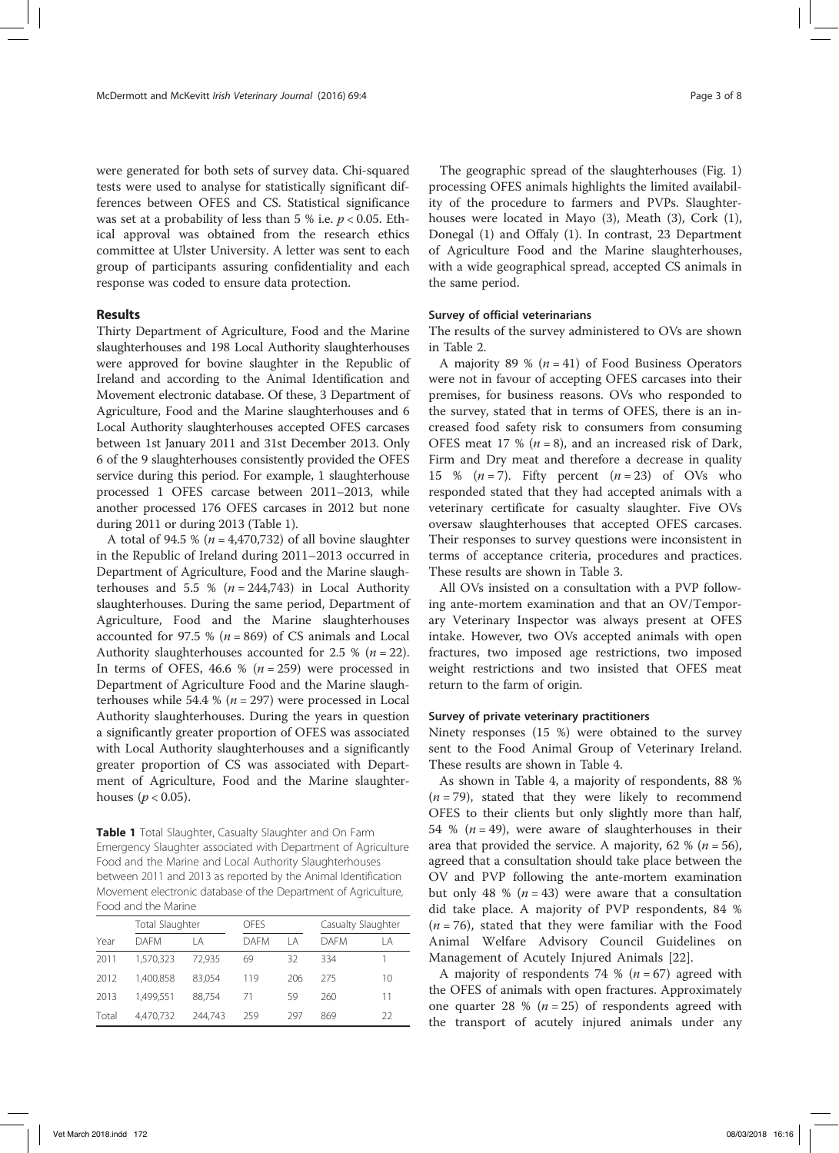were generated for both sets of survey data. Chi-squared tests were used to analyse for statistically significant differences between OFES and CS. Statistical significance was set at a probability of less than 5 % i.e.  $p < 0.05$ . Ethical approval was obtained from the research ethics committee at Ulster University. A letter was sent to each group of participants assuring confidentiality and each response was coded to ensure data protection.

## Results

Thirty Department of Agriculture, Food and the Marine slaughterhouses and 198 Local Authority slaughterhouses were approved for bovine slaughter in the Republic of Ireland and according to the Animal Identification and Movement electronic database. Of these, 3 Department of Agriculture, Food and the Marine slaughterhouses and 6 Local Authority slaughterhouses accepted OFES carcases between 1st January 2011 and 31st December 2013. Only 6 of the 9 slaughterhouses consistently provided the OFES service during this period. For example, 1 slaughterhouse processed 1 OFES carcase between 2011–2013, while another processed 176 OFES carcases in 2012 but none during 2011 or during 2013 (Table 1).

A total of 94.5 % ( $n = 4,470,732$ ) of all bovine slaughter in the Republic of Ireland during 2011–2013 occurred in Department of Agriculture, Food and the Marine slaughterhouses and 5.5 % ( $n = 244,743$ ) in Local Authority slaughterhouses. During the same period, Department of Agriculture, Food and the Marine slaughterhouses accounted for 97.5 % ( $n = 869$ ) of CS animals and Local Authority slaughterhouses accounted for 2.5 % ( $n = 22$ ). In terms of OFES, 46.6 % ( $n = 259$ ) were processed in Department of Agriculture Food and the Marine slaughterhouses while 54.4 % ( $n = 297$ ) were processed in Local Authority slaughterhouses. During the years in question a significantly greater proportion of OFES was associated with Local Authority slaughterhouses and a significantly greater proportion of CS was associated with Department of Agriculture, Food and the Marine slaughterhouses ( $p < 0.05$ ).

Table 1 Total Slaughter, Casualty Slaughter and On Farm Emergency Slaughter associated with Department of Agriculture Food and the Marine and Local Authority Slaughterhouses between 2011 and 2013 as reported by the Animal Identification Movement electronic database of the Department of Agriculture, Food and the Marine

|       | Total Slaughter |         | OFFS        |     | Casualty Slaughter |    |
|-------|-----------------|---------|-------------|-----|--------------------|----|
| Year  | <b>DAFM</b>     | ΙA      | <b>DAFM</b> | ΙA  | <b>DAFM</b>        | ΙA |
| 2011  | 1,570,323       | 72,935  | 69          | 32  | 334                |    |
| 2012  | 1,400.858       | 83.054  | 119         | 206 | 275                | 10 |
| 2013  | 1.499.551       | 88.754  | 71          | 59  | 260                | 11 |
| Total | 4,470,732       | 244.743 | 259         | 297 | 869                | 22 |

The geographic spread of the slaughterhouses (Fig. 1) processing OFES animals highlights the limited availability of the procedure to farmers and PVPs. Slaughterhouses were located in Mayo (3), Meath (3), Cork (1), Donegal (1) and Offaly (1). In contrast, 23 Department of Agriculture Food and the Marine slaughterhouses, with a wide geographical spread, accepted CS animals in the same period.

### Survey of official veterinarians

The results of the survey administered to OVs are shown in Table 2.

A majority 89 % ( $n = 41$ ) of Food Business Operators were not in favour of accepting OFES carcases into their premises, for business reasons. OVs who responded to the survey, stated that in terms of OFES, there is an increased food safety risk to consumers from consuming OFES meat 17 % ( $n = 8$ ), and an increased risk of Dark, Firm and Dry meat and therefore a decrease in quality 15 %  $(n=7)$ . Fifty percent  $(n=23)$  of OVs who responded stated that they had accepted animals with a veterinary certificate for casualty slaughter. Five OVs oversaw slaughterhouses that accepted OFES carcases. Their responses to survey questions were inconsistent in terms of acceptance criteria, procedures and practices. These results are shown in Table 3.

All OVs insisted on a consultation with a PVP following ante-mortem examination and that an OV/Temporary Veterinary Inspector was always present at OFES intake. However, two OVs accepted animals with open fractures, two imposed age restrictions, two imposed weight restrictions and two insisted that OFES meat return to the farm of origin.

### Survey of private veterinary practitioners

Ninety responses (15 %) were obtained to the survey sent to the Food Animal Group of Veterinary Ireland. These results are shown in Table 4.

As shown in Table 4, a majority of respondents, 88 %  $(n = 79)$ , stated that they were likely to recommend OFES to their clients but only slightly more than half, 54 % ( $n = 49$ ), were aware of slaughterhouses in their area that provided the service. A majority, 62 % ( $n = 56$ ), agreed that a consultation should take place between the OV and PVP following the ante-mortem examination but only 48 % ( $n = 43$ ) were aware that a consultation did take place. A majority of PVP respondents, 84 %  $(n = 76)$ , stated that they were familiar with the Food Animal Welfare Advisory Council Guidelines on Management of Acutely Injured Animals [22].

A majority of respondents 74 %  $(n = 67)$  agreed with the OFES of animals with open fractures. Approximately one quarter 28 % ( $n = 25$ ) of respondents agreed with the transport of acutely injured animals under any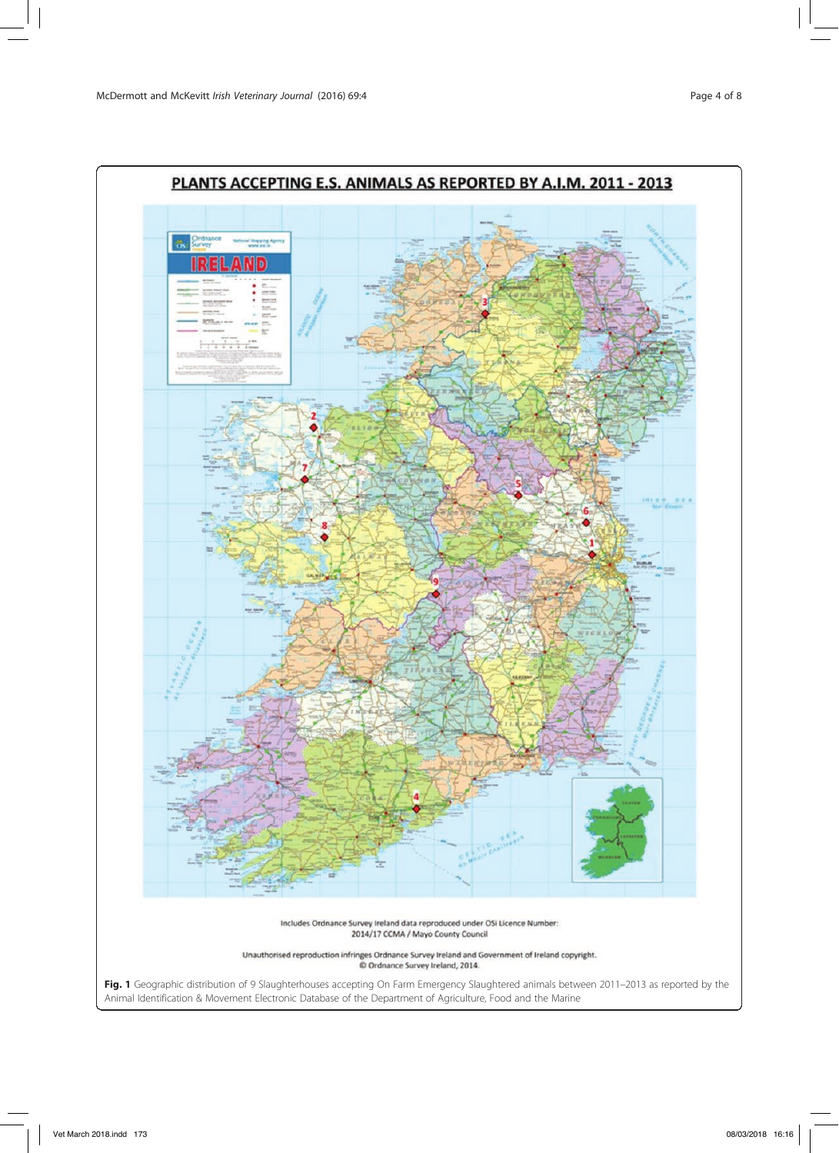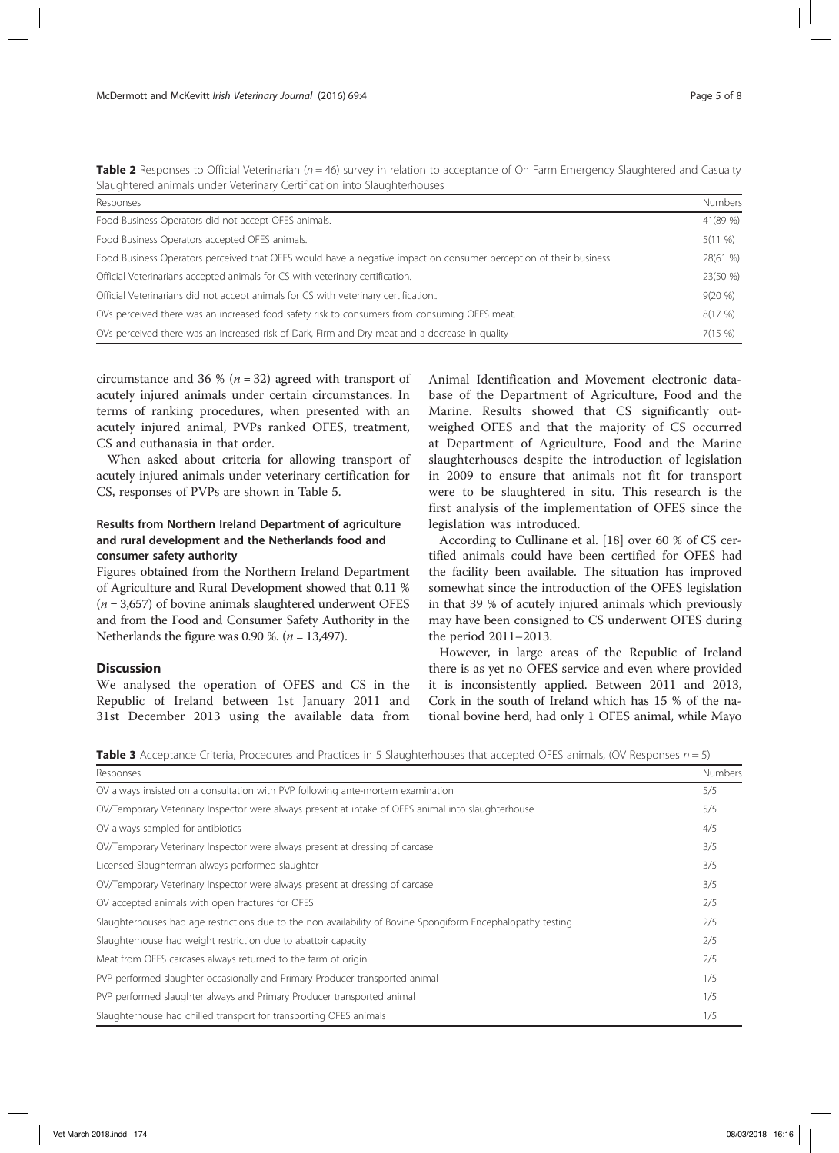| Slaughtered animals under Veterinary Certification into Slaughterhouses                                            |            |  |  |  |
|--------------------------------------------------------------------------------------------------------------------|------------|--|--|--|
| Responses                                                                                                          |            |  |  |  |
| Food Business Operators did not accept OFES animals.                                                               | 41(89 %)   |  |  |  |
| Food Business Operators accepted OFES animals.                                                                     | $5(11 \%)$ |  |  |  |
| Food Business Operators perceived that OFES would have a negative impact on consumer perception of their business. | 28(61 %)   |  |  |  |
| Official Veterinarians accepted animals for CS with veterinary certification.                                      | 23(50 %)   |  |  |  |
| Official Veterinarians did not accept animals for CS with veterinary certification                                 | $9(20\%)$  |  |  |  |
| OVs perceived there was an increased food safety risk to consumers from consuming OFES meat.                       | 8(17%)     |  |  |  |
| OVs perceived there was an increased risk of Dark, Firm and Dry meat and a decrease in quality                     | 7(15%)     |  |  |  |

Table 2 Responses to Official Veterinarian ( $n = 46$ ) survey in relation to acceptance of On Farm Emergency Slaughtered and Casualty

circumstance and 36 % ( $n = 32$ ) agreed with transport of acutely injured animals under certain circumstances. In terms of ranking procedures, when presented with an acutely injured animal, PVPs ranked OFES, treatment, CS and euthanasia in that order.

When asked about criteria for allowing transport of acutely injured animals under veterinary certification for CS, responses of PVPs are shown in Table 5.

# Results from Northern Ireland Department of agriculture and rural development and the Netherlands food and consumer safety authority

Figures obtained from the Northern Ireland Department of Agriculture and Rural Development showed that 0.11 %  $(n = 3,657)$  of bovine animals slaughtered underwent OFES and from the Food and Consumer Safety Authority in the Netherlands the figure was 0.90 %. ( $n = 13,497$ ).

# **Discussion**

We analysed the operation of OFES and CS in the Republic of Ireland between 1st January 2011 and 31st December 2013 using the available data from Animal Identification and Movement electronic database of the Department of Agriculture, Food and the Marine. Results showed that CS significantly outweighed OFES and that the majority of CS occurred at Department of Agriculture, Food and the Marine slaughterhouses despite the introduction of legislation in 2009 to ensure that animals not fit for transport were to be slaughtered in situ. This research is the first analysis of the implementation of OFES since the legislation was introduced.

According to Cullinane et al. [18] over 60 % of CS certified animals could have been certified for OFES had the facility been available. The situation has improved somewhat since the introduction of the OFES legislation in that 39 % of acutely injured animals which previously may have been consigned to CS underwent OFES during the period 2011–2013.

However, in large areas of the Republic of Ireland there is as yet no OFES service and even where provided it is inconsistently applied. Between 2011 and 2013, Cork in the south of Ireland which has 15 % of the national bovine herd, had only 1 OFES animal, while Mayo

**Table 3** Acceptance Criteria, Procedures and Practices in 5 Slaughterhouses that accepted OFES animals, (OV Responses  $n = 5$ )

| Responses                                                                                                    |     |  |
|--------------------------------------------------------------------------------------------------------------|-----|--|
| OV always insisted on a consultation with PVP following ante-mortem examination                              | 5/5 |  |
| OV/Temporary Veterinary Inspector were always present at intake of OFES animal into slaughterhouse           |     |  |
| OV always sampled for antibiotics                                                                            | 4/5 |  |
| OV/Temporary Veterinary Inspector were always present at dressing of carcase                                 | 3/5 |  |
| Licensed Slaughterman always performed slaughter                                                             | 3/5 |  |
| OV/Temporary Veterinary Inspector were always present at dressing of carcase                                 | 3/5 |  |
| OV accepted animals with open fractures for OFES                                                             | 2/5 |  |
| Slaughterhouses had age restrictions due to the non availability of Bovine Spongiform Encephalopathy testing | 2/5 |  |
| Slaughterhouse had weight restriction due to abattoir capacity                                               |     |  |
| Meat from OFES carcases always returned to the farm of origin                                                |     |  |
| PVP performed slaughter occasionally and Primary Producer transported animal                                 |     |  |
| PVP performed slaughter always and Primary Producer transported animal                                       |     |  |
| Slaughterhouse had chilled transport for transporting OFES animals                                           | 1/5 |  |
|                                                                                                              |     |  |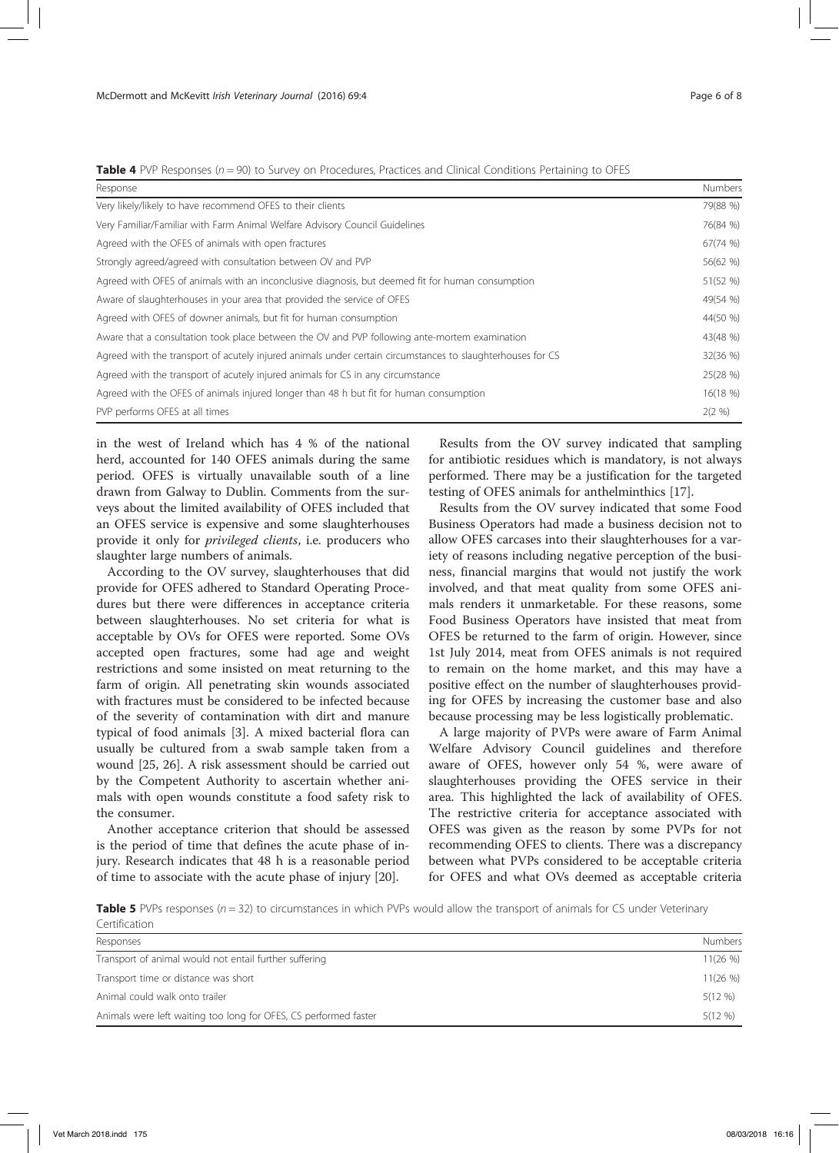**Table 4** PVP Responses ( $n = 90$ ) to Survey on Procedures, Practices and Clinical Conditions Pertaining to OFES

| Response                                                                                                   | Numbers   |  |
|------------------------------------------------------------------------------------------------------------|-----------|--|
| Very likely/likely to have recommend OFES to their clients                                                 | 79(88 %)  |  |
| Very Familiar/Familiar with Farm Animal Welfare Advisory Council Guidelines                                | 76(84 %)  |  |
| Agreed with the OFES of animals with open fractures                                                        | 67(74 %)  |  |
| Strongly agreed/agreed with consultation between OV and PVP                                                | 56(62 %)  |  |
| Agreed with OFES of animals with an inconclusive diagnosis, but deemed fit for human consumption           | 51(52 %)  |  |
| Aware of slaughterhouses in your area that provided the service of OFES                                    | 49(54 %)  |  |
| Agreed with OFES of downer animals, but fit for human consumption                                          | 44(50 %)  |  |
| Aware that a consultation took place between the OV and PVP following ante-mortem examination              | 43(48 %)  |  |
| Agreed with the transport of acutely injured animals under certain circumstances to slaughterhouses for CS | 32(36 %)  |  |
| Agreed with the transport of acutely injured animals for CS in any circumstance                            | 25(28 %)  |  |
| Agreed with the OFES of animals injured longer than 48 h but fit for human consumption                     | 16(18%)   |  |
| PVP performs OFES at all times                                                                             | $2(2 \%)$ |  |

in the west of Ireland which has 4 % of the national herd, accounted for 140 OFES animals during the same period. OFES is virtually unavailable south of a line drawn from Galway to Dublin. Comments from the surveys about the limited availability of OFES included that an OFES service is expensive and some slaughterhouses provide it only for privileged clients, i.e. producers who slaughter large numbers of animals.

According to the OV survey, slaughterhouses that did provide for OFES adhered to Standard Operating Procedures but there were differences in acceptance criteria between slaughterhouses. No set criteria for what is acceptable by OVs for OFES were reported. Some OVs accepted open fractures, some had age and weight restrictions and some insisted on meat returning to the farm of origin. All penetrating skin wounds associated with fractures must be considered to be infected because of the severity of contamination with dirt and manure typical of food animals [3]. A mixed bacterial flora can usually be cultured from a swab sample taken from a wound [25, 26]. A risk assessment should be carried out by the Competent Authority to ascertain whether animals with open wounds constitute a food safety risk to the consumer.

Another acceptance criterion that should be assessed is the period of time that defines the acute phase of injury. Research indicates that 48 h is a reasonable period of time to associate with the acute phase of injury [20].

Results from the OV survey indicated that sampling for antibiotic residues which is mandatory, is not always performed. There may be a justification for the targeted testing of OFES animals for anthelminthics [17].

Results from the OV survey indicated that some Food Business Operators had made a business decision not to allow OFES carcases into their slaughterhouses for a variety of reasons including negative perception of the business, financial margins that would not justify the work involved, and that meat quality from some OFES animals renders it unmarketable. For these reasons, some Food Business Operators have insisted that meat from OFES be returned to the farm of origin. However, since 1st July 2014, meat from OFES animals is not required to remain on the home market, and this may have a positive effect on the number of slaughterhouses providing for OFES by increasing the customer base and also because processing may be less logistically problematic.

A large majority of PVPs were aware of Farm Animal Welfare Advisory Council guidelines and therefore aware of OFES, however only 54 %, were aware of slaughterhouses providing the OFES service in their area. This highlighted the lack of availability of OFES. The restrictive criteria for acceptance associated with OFES was given as the reason by some PVPs for not recommending OFES to clients. There was a discrepancy between what PVPs considered to be acceptable criteria for OFES and what OVs deemed as acceptable criteria

Table 5 PVPs responses ( $n = 32$ ) to circumstances in which PVPs would allow the transport of animals for CS under Veterinary Certification

| Responses                                                        | Numbers    |
|------------------------------------------------------------------|------------|
| Transport of animal would not entail further suffering           | 11(26%)    |
| Transport time or distance was short                             | 11(26%)    |
| Animal could walk onto trailer                                   | $5(12 \%)$ |
| Animals were left waiting too long for OFES, CS performed faster | $5(12 \%)$ |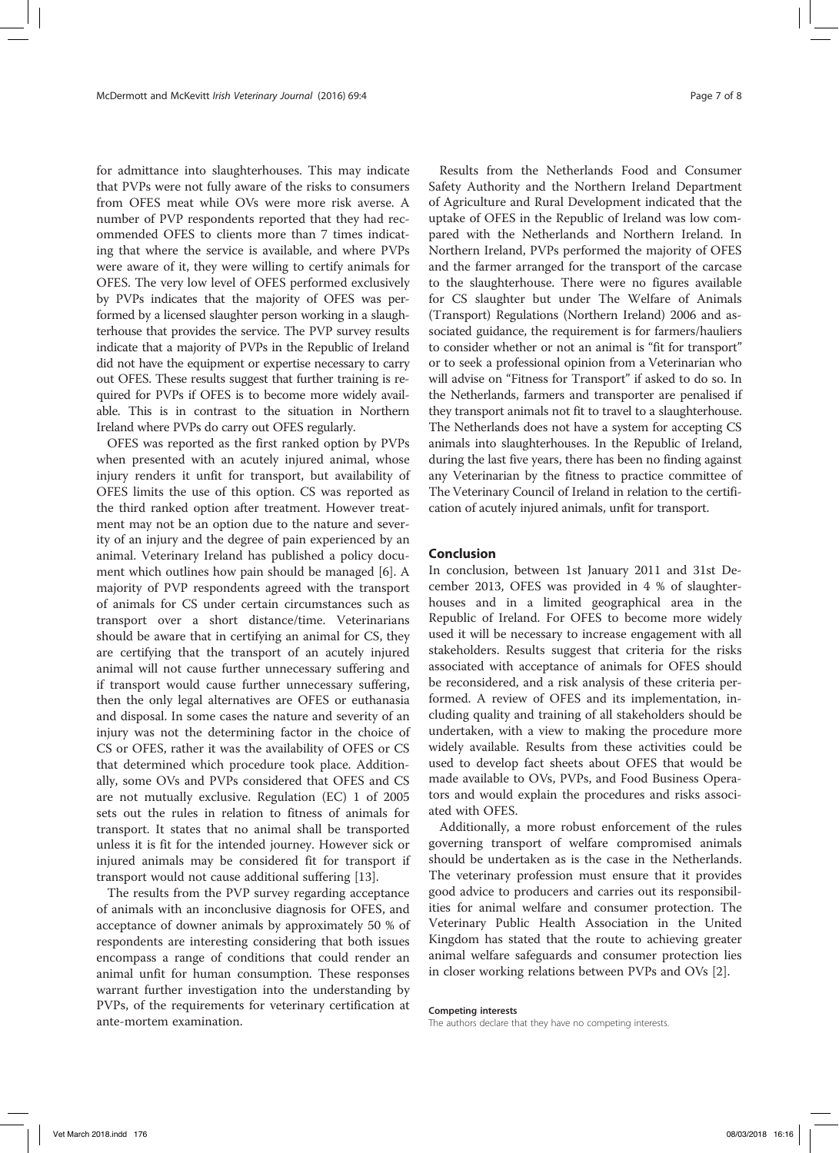for admittance into slaughterhouses. This may indicate that PVPs were not fully aware of the risks to consumers from OFES meat while OVs were more risk averse. A number of PVP respondents reported that they had recommended OFES to clients more than 7 times indicating that where the service is available, and where PVPs were aware of it, they were willing to certify animals for OFES. The very low level of OFES performed exclusively by PVPs indicates that the majority of OFES was performed by a licensed slaughter person working in a slaughterhouse that provides the service. The PVP survey results indicate that a majority of PVPs in the Republic of Ireland did not have the equipment or expertise necessary to carry out OFES. These results suggest that further training is required for PVPs if OFES is to become more widely available. This is in contrast to the situation in Northern Ireland where PVPs do carry out OFES regularly.

OFES was reported as the first ranked option by PVPs when presented with an acutely injured animal, whose injury renders it unfit for transport, but availability of OFES limits the use of this option. CS was reported as the third ranked option after treatment. However treatment may not be an option due to the nature and severity of an injury and the degree of pain experienced by an animal. Veterinary Ireland has published a policy document which outlines how pain should be managed [6]. A majority of PVP respondents agreed with the transport of animals for CS under certain circumstances such as transport over a short distance/time. Veterinarians should be aware that in certifying an animal for CS, they are certifying that the transport of an acutely injured animal will not cause further unnecessary suffering and if transport would cause further unnecessary suffering, then the only legal alternatives are OFES or euthanasia and disposal. In some cases the nature and severity of an injury was not the determining factor in the choice of CS or OFES, rather it was the availability of OFES or CS that determined which procedure took place. Additionally, some OVs and PVPs considered that OFES and CS are not mutually exclusive. Regulation (EC) 1 of 2005 sets out the rules in relation to fitness of animals for transport. It states that no animal shall be transported unless it is fit for the intended journey. However sick or injured animals may be considered fit for transport if transport would not cause additional suffering [13].

The results from the PVP survey regarding acceptance of animals with an inconclusive diagnosis for OFES, and acceptance of downer animals by approximately 50 % of respondents are interesting considering that both issues encompass a range of conditions that could render an animal unfit for human consumption. These responses warrant further investigation into the understanding by PVPs, of the requirements for veterinary certification at ante-mortem examination.

Results from the Netherlands Food and Consumer Safety Authority and the Northern Ireland Department of Agriculture and Rural Development indicated that the uptake of OFES in the Republic of Ireland was low compared with the Netherlands and Northern Ireland. In Northern Ireland, PVPs performed the majority of OFES and the farmer arranged for the transport of the carcase to the slaughterhouse. There were no figures available for CS slaughter but under The Welfare of Animals (Transport) Regulations (Northern Ireland) 2006 and associated guidance, the requirement is for farmers/hauliers to consider whether or not an animal is "fit for transport" or to seek a professional opinion from a Veterinarian who will advise on "Fitness for Transport" if asked to do so. In the Netherlands, farmers and transporter are penalised if they transport animals not fit to travel to a slaughterhouse. The Netherlands does not have a system for accepting CS animals into slaughterhouses. In the Republic of Ireland, during the last five years, there has been no finding against any Veterinarian by the fitness to practice committee of The Veterinary Council of Ireland in relation to the certification of acutely injured animals, unfit for transport.

# Conclusion

In conclusion, between 1st January 2011 and 31st December 2013, OFES was provided in 4 % of slaughterhouses and in a limited geographical area in the Republic of Ireland. For OFES to become more widely used it will be necessary to increase engagement with all stakeholders. Results suggest that criteria for the risks associated with acceptance of animals for OFES should be reconsidered, and a risk analysis of these criteria performed. A review of OFES and its implementation, including quality and training of all stakeholders should be undertaken, with a view to making the procedure more widely available. Results from these activities could be used to develop fact sheets about OFES that would be made available to OVs, PVPs, and Food Business Operators and would explain the procedures and risks associated with OFES.

Additionally, a more robust enforcement of the rules governing transport of welfare compromised animals should be undertaken as is the case in the Netherlands. The veterinary profession must ensure that it provides good advice to producers and carries out its responsibilities for animal welfare and consumer protection. The Veterinary Public Health Association in the United Kingdom has stated that the route to achieving greater animal welfare safeguards and consumer protection lies in closer working relations between PVPs and OVs [2].

#### Competing interests

The authors declare that they have no competing interests.